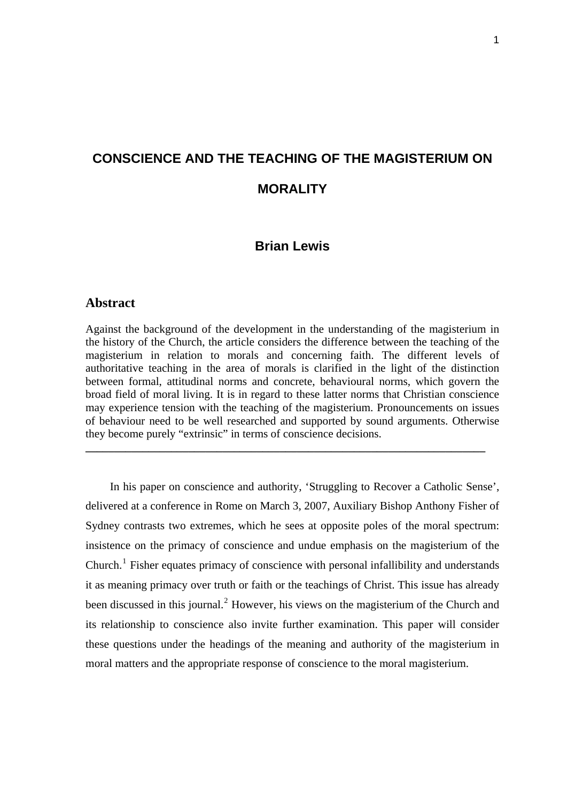# **CONSCIENCE AND THE TEACHING OF THE MAGISTERIUM ON MORALITY**

# **Brian Lewis**

## **Abstract**

Against the background of the development in the understanding of the magisterium in the history of the Church, the article considers the difference between the teaching of the magisterium in relation to morals and concerning faith. The different levels of authoritative teaching in the area of morals is clarified in the light of the distinction between formal, attitudinal norms and concrete, behavioural norms, which govern the broad field of moral living. It is in regard to these latter norms that Christian conscience may experience tension with the teaching of the magisterium. Pronouncements on issues of behaviour need to be well researched and supported by sound arguments. Otherwise they become purely "extrinsic" in terms of conscience decisions.

**\_\_\_\_\_\_\_\_\_\_\_\_\_\_\_\_\_\_\_\_\_\_\_\_\_\_\_\_\_\_\_\_\_\_\_\_\_\_\_\_\_\_\_\_\_\_\_\_\_\_\_\_\_\_\_\_\_\_\_\_\_\_\_\_\_\_\_\_\_\_** 

In his paper on conscience and authority, 'Struggling to Recover a Catholic Sense', delivered at a conference in Rome on March 3, 2007, Auxiliary Bishop Anthony Fisher of Sydney contrasts two extremes, which he sees at opposite poles of the moral spectrum: insistence on the primacy of conscience and undue emphasis on the magisterium of the Church.<sup>[1](#page-2-0)</sup> Fisher equates primacy of conscience with personal infallibility and understands it as meaning primacy over truth or faith or the teachings of Christ. This issue has already been discussed in this journal.<sup>[2](#page-2-1)</sup> However, his views on the magisterium of the Church and its relationship to conscience also invite further examination. This paper will consider these questions under the headings of the meaning and authority of the magisterium in moral matters and the appropriate response of conscience to the moral magisterium.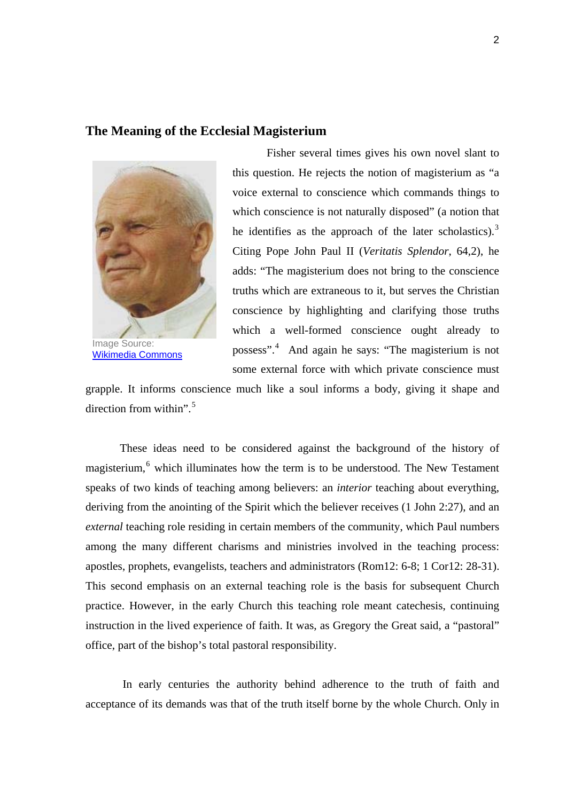# **The Meaning of the Ecclesial Magisterium**



 Fisher several times gives his own novel slant to this question. He rejects the notion of magisterium as "a voice external to conscience which commands things to which conscience is not naturally disposed" (a notion that he identifies as the approach of the later scholastics).<sup>[3](#page-2-1)</sup> Citing Pope John Paul II (*Veritatis Splendor*, 64,2), he adds: "The magisterium does not bring to the conscience truths which are extraneous to it, but serves the Christian conscience by highlighting and clarifying those truths which a well-formed conscience ought already to possess".[4](#page-3-0) And again he says: "The magisterium is not some external force with which private conscience must

grapple. It informs conscience much like a soul informs a body, giving it shape and direction from within". $5$ 

These ideas need to be considered against the background of the history of magisterium,<sup>[6](#page-3-0)</sup> which illuminates how the term is to be understood. The New Testament speaks of two kinds of teaching among believers: an *interior* teaching about everything, deriving from the anointing of the Spirit which the believer receives (1 John 2:27), and an *external* teaching role residing in certain members of the community, which Paul numbers among the many different charisms and ministries involved in the teaching process: apostles, prophets, evangelists, teachers and administrators (Rom12: 6-8; 1 Cor12: 28-31). This second emphasis on an external teaching role is the basis for subsequent Church practice. However, in the early Church this teaching role meant catechesis, continuing instruction in the lived experience of faith. It was, as Gregory the Great said, a "pastoral" office, part of the bishop's total pastoral responsibility.

 In early centuries the authority behind adherence to the truth of faith and acceptance of its demands was that of the truth itself borne by the whole Church. Only in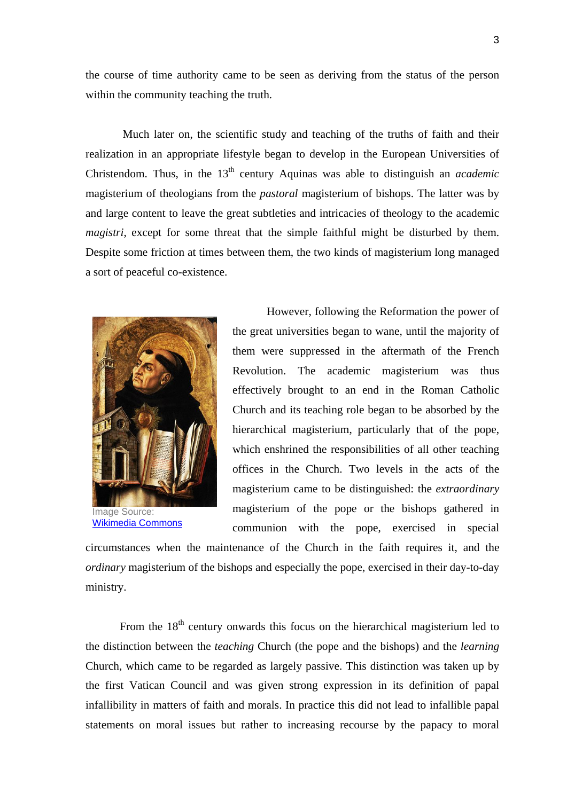the course of time authority came to be seen as deriving from the status of the person within the community teaching the truth.

<span id="page-2-1"></span> Much later on, the scientific study and teaching of the truths of faith and their realization in an appropriate lifestyle began to develop in the European Universities of Christendom. Thus, in the 13<sup>th</sup> century Aquinas was able to distinguish an *academic* magisterium of theologians from the *pastoral* magisterium of bishops. The latter was by and large content to leave the great subtleties and intricacies of theology to the academic *magistri*, except for some threat that the simple faithful might be disturbed by them. Despite some friction at times between them, the two kinds of magisterium long managed a sort of peaceful co-existence.



Image Source: [Wikimedia Commons](http://commons.wikimedia.org/wiki/Image:St-thomas-aquinas.jpg)

 However, following the Reformation the power of the great universities began to wane, until the majority of them were suppressed in the aftermath of the French Revolution. The academic magisterium was thus effectively brought to an end in the Roman Catholic Church and its teaching role began to be absorbed by the hierarchical magisterium, particularly that of the pope, which enshrined the responsibilities of all other teaching offices in the Church. Two levels in the acts of the magisterium came to be distinguished: the *extraordinary* magisterium of the pope or the bishops gathered in communion with the pope, exercised in special

circumstances when the maintenance of the Church in the faith requires it, and the *ordinary* magisterium of the bishops and especially the pope, exercised in their day-to-day ministry.

<span id="page-2-0"></span>From the  $18<sup>th</sup>$  century onwards this focus on the hierarchical magisterium led to the distinction between the *teaching* Church (the pope and the bishops) and the *learning* Church, which came to be regarded as largely passive. This distinction was taken up by the first Vatican Council and was given strong expression in its definition of papal infallibility in matters of faith and morals. In practice this did not lead to infallible papal statements on moral issues but rather to increasing recourse by the papacy to moral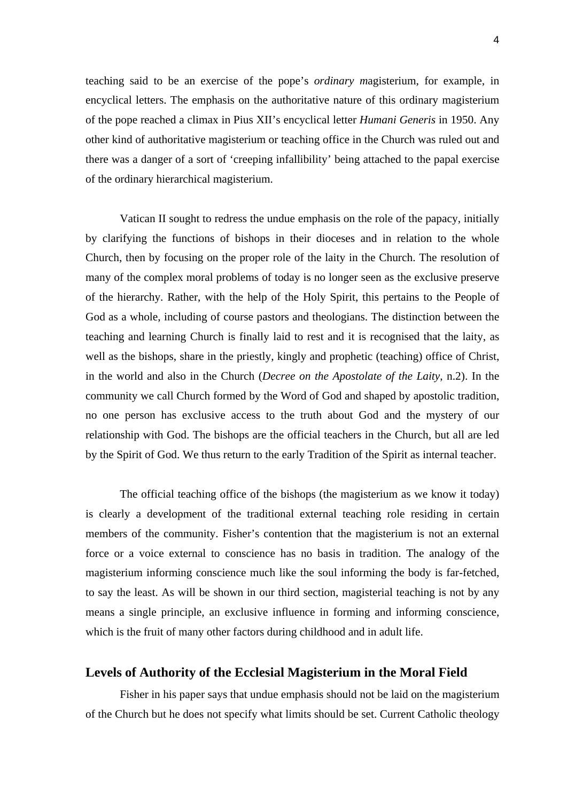<span id="page-3-0"></span>teaching said to be an exercise of the pope's *ordinary m*agisterium, for example, in encyclical letters. The emphasis on the authoritative nature of this ordinary magisterium of the pope reached a climax in Pius XII's encyclical letter *Humani Generis* in 1950. Any other kind of authoritative magisterium or teaching office in the Church was ruled out and there was a danger of a sort of 'creeping infallibility' being attached to the papal exercise of the ordinary hierarchical magisterium.

 Vatican II sought to redress the undue emphasis on the role of the papacy, initially by clarifying the functions of bishops in their dioceses and in relation to the whole Church, then by focusing on the proper role of the laity in the Church. The resolution of many of the complex moral problems of today is no longer seen as the exclusive preserve of the hierarchy. Rather, with the help of the Holy Spirit, this pertains to the People of God as a whole, including of course pastors and theologians. The distinction between the teaching and learning Church is finally laid to rest and it is recognised that the laity, as well as the bishops, share in the priestly, kingly and prophetic (teaching) office of Christ, in the world and also in the Church (*Decree on the Apostolate of the Laity*, n.2). In the community we call Church formed by the Word of God and shaped by apostolic tradition, no one person has exclusive access to the truth about God and the mystery of our relationship with God. The bishops are the official teachers in the Church, but all are led by the Spirit of God. We thus return to the early Tradition of the Spirit as internal teacher.

 The official teaching office of the bishops (the magisterium as we know it today) is clearly a development of the traditional external teaching role residing in certain members of the community. Fisher's contention that the magisterium is not an external force or a voice external to conscience has no basis in tradition. The analogy of the magisterium informing conscience much like the soul informing the body is far-fetched, to say the least. As will be shown in our third section, magisterial teaching is not by any means a single principle, an exclusive influence in forming and informing conscience, which is the fruit of many other factors during childhood and in adult life.

#### **Levels of Authority of the Ecclesial Magisterium in the Moral Field**

 Fisher in his paper says that undue emphasis should not be laid on the magisterium of the Church but he does not specify what limits should be set. Current Catholic theology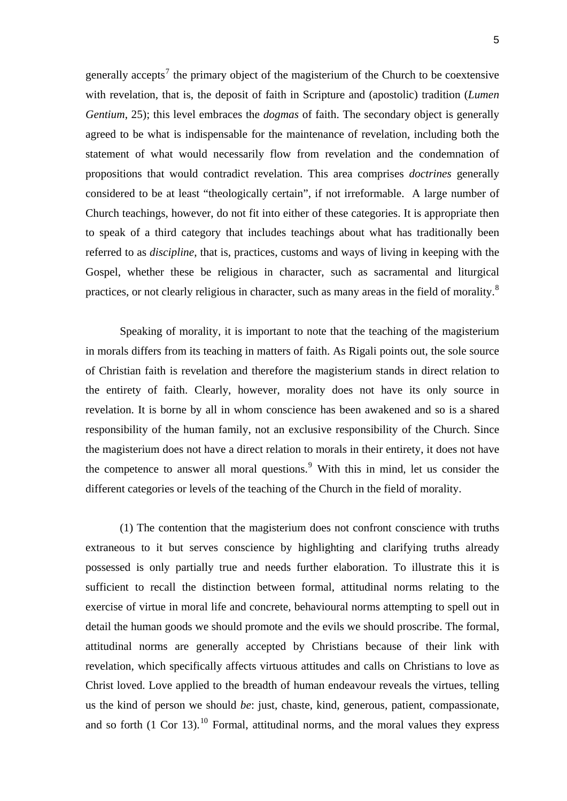<span id="page-4-0"></span>generally accepts<sup>[7](#page-3-0)</sup> the primary object of the magisterium of the Church to be coextensive with revelation, that is, the deposit of faith in Scripture and (apostolic) tradition (*Lumen Gentium*, 25); this level embraces the *dogmas* of faith. The secondary object is generally agreed to be what is indispensable for the maintenance of revelation, including both the statement of what would necessarily flow from revelation and the condemnation of propositions that would contradict revelation. This area comprises *doctrines* generally considered to be at least "theologically certain", if not irreformable. A large number of Church teachings, however, do not fit into either of these categories. It is appropriate then to speak of a third category that includes teachings about what has traditionally been referred to as *discipline*, that is, practices, customs and ways of living in keeping with the Gospel, whether these be religious in character, such as sacramental and liturgical practices, or not clearly religious in character, such as many areas in the field of morality.<sup>[8](#page-3-0)</sup>

 Speaking of morality, it is important to note that the teaching of the magisterium in morals differs from its teaching in matters of faith. As Rigali points out, the sole source of Christian faith is revelation and therefore the magisterium stands in direct relation to the entirety of faith. Clearly, however, morality does not have its only source in revelation. It is borne by all in whom conscience has been awakened and so is a shared responsibility of the human family, not an exclusive responsibility of the Church. Since the magisterium does not have a direct relation to morals in their entirety, it does not have the competence to answer all moral questions. With this in mind, let us consider the different categories or levels of the teaching of the Church in the field of morality.

(1) The contention that the magisterium does not confront conscience with truths extraneous to it but serves conscience by highlighting and clarifying truths already possessed is only partially true and needs further elaboration. To illustrate this it is sufficient to recall the distinction between formal, attitudinal norms relating to the exercise of virtue in moral life and concrete, behavioural norms attempting to spell out in detail the human goods we should promote and the evils we should proscribe. The formal, attitudinal norms are generally accepted by Christians because of their link with revelation, which specifically affects virtuous attitudes and calls on Christians to love as Christ loved. Love applied to the breadth of human endeavour reveals the virtues, telling us the kind of person we should *be*: just, chaste, kind, generous, patient, compassionate, and so forth  $(1 \text{ Cor } 13)$ .<sup>[10](#page-3-0)</sup> Formal, attitudinal norms, and the moral values they express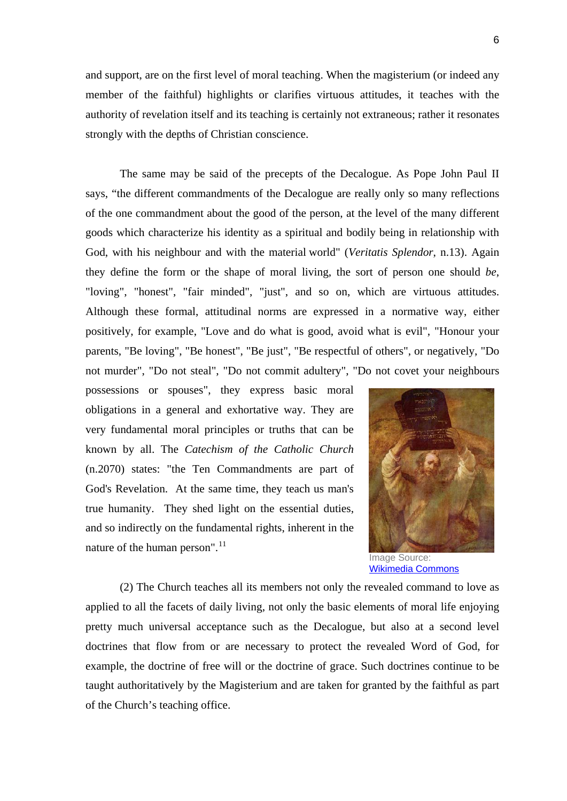and support, are on the first level of moral teaching. When the magisterium (or indeed any member of the faithful) highlights or clarifies virtuous attitudes, it teaches with the authority of revelation itself and its teaching is certainly not extraneous; rather it resonates strongly with the depths of Christian conscience.

 The same may be said of the precepts of the Decalogue. As Pope John Paul II says, "the different commandments of the Decalogue are really only so many reflections of the one commandment about the good of the person, at the level of the many different goods which characterize his identity as a spiritual and bodily being in relationship with God, with his neighbour and with the material world" (*Veritatis Splendor*, n.13). Again they define the form or the shape of moral living, the sort of person one should *be*, "loving", "honest", "fair minded", "just", and so on, which are virtuous attitudes. Although these formal, attitudinal norms are expressed in a normative way, either positively, for example, "Love and do what is good, avoid what is evil", "Honour your parents, "Be loving", "Be honest", "Be just", "Be respectful of others", or negatively, "Do not murder", "Do not steal", "Do not commit adultery", "Do not covet your neighbours

possessions or spouses", they express basic moral obligations in a general and exhortative way. They are very fundamental moral principles or truths that can be known by all. The *Catechism of the Catholic Church*  (n.2070) states: "the Ten Commandments are part of God's Revelation. At the same time, they teach us man's true humanity. They shed light on the essential duties, and so indirectly on the fundamental rights, inherent in the nature of the human person".<sup>[11](#page-3-0)</sup> Image Source:



[Wikimedia Commons](http://commons.wikimedia.org/wiki/Image:Rembrandt_Harmensz._van_Rijn_079.jpg)

(2) The Church teaches all its members not only the revealed command to love as applied to all the facets of daily living, not only the basic elements of moral life enjoying pretty much universal acceptance such as the Decalogue, but also at a second level doctrines that flow from or are necessary to protect the revealed Word of God, for example, the doctrine of free will or the doctrine of grace. Such doctrines continue to be taught authoritatively by the Magisterium and are taken for granted by the faithful as part of the Church's teaching office.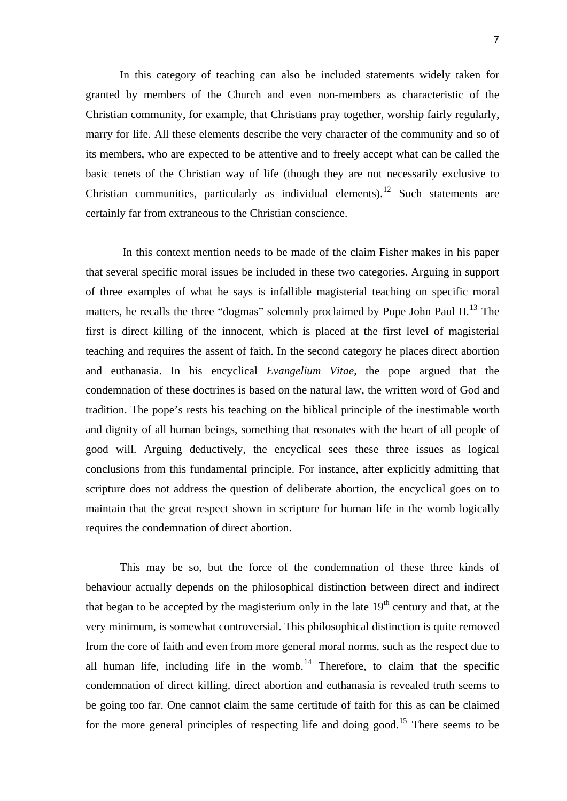In this category of teaching can also be included statements widely taken for granted by members of the Church and even non-members as characteristic of the Christian community, for example, that Christians pray together, worship fairly regularly, marry for life. All these elements describe the very character of the community and so of its members, who are expected to be attentive and to freely accept what can be called the basic tenets of the Christian way of life (though they are not necessarily exclusive to Christian communities, particularly as individual elements).<sup>[12](#page-3-0)</sup> Such statements are certainly far from extraneous to the Christian conscience.

 In this context mention needs to be made of the claim Fisher makes in his paper that several specific moral issues be included in these two categories. Arguing in support of three examples of what he says is infallible magisterial teaching on specific moral matters, he recalls the three "dogmas" solemnly proclaimed by Pope John Paul II.<sup>[13](#page-3-0)</sup> The first is direct killing of the innocent, which is placed at the first level of magisterial teaching and requires the assent of faith. In the second category he places direct abortion and euthanasia. In his encyclical *Evangelium Vitae*, the pope argued that the condemnation of these doctrines is based on the natural law, the written word of God and tradition. The pope's rests his teaching on the biblical principle of the inestimable worth and dignity of all human beings, something that resonates with the heart of all people of good will. Arguing deductively, the encyclical sees these three issues as logical conclusions from this fundamental principle. For instance, after explicitly admitting that scripture does not address the question of deliberate abortion, the encyclical goes on to maintain that the great respect shown in scripture for human life in the womb logically requires the condemnation of direct abortion.

 This may be so, but the force of the condemnation of these three kinds of behaviour actually depends on the philosophical distinction between direct and indirect that began to be accepted by the magisterium only in the late  $19<sup>th</sup>$  century and that, at the very minimum, is somewhat controversial. This philosophical distinction is quite removed from the core of faith and even from more general moral norms, such as the respect due to all human life, including life in the womb.<sup>[14](#page-3-0)</sup> Therefore, to claim that the specific condemnation of direct killing, direct abortion and euthanasia is revealed truth seems to be going too far. One cannot claim the same certitude of faith for this as can be claimed for the more general principles of respecting life and doing good.<sup>[15](#page-3-0)</sup> There seems to be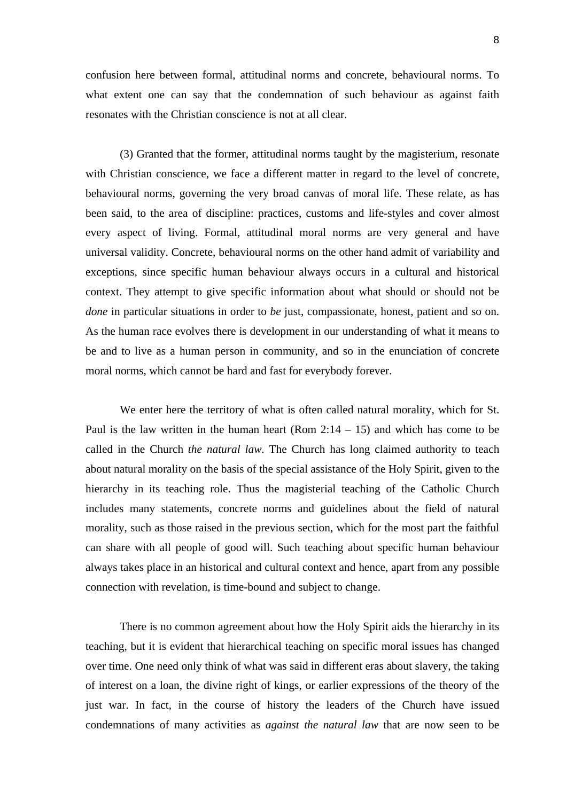confusion here between formal, attitudinal norms and concrete, behavioural norms. To what extent one can say that the condemnation of such behaviour as against faith resonates with the Christian conscience is not at all clear.

(3) Granted that the former, attitudinal norms taught by the magisterium, resonate with Christian conscience, we face a different matter in regard to the level of concrete, behavioural norms, governing the very broad canvas of moral life. These relate, as has been said, to the area of discipline: practices, customs and life-styles and cover almost every aspect of living. Formal, attitudinal moral norms are very general and have universal validity. Concrete, behavioural norms on the other hand admit of variability and exceptions, since specific human behaviour always occurs in a cultural and historical context. They attempt to give specific information about what should or should not be *done* in particular situations in order to *be* just, compassionate, honest, patient and so on. As the human race evolves there is development in our understanding of what it means to be and to live as a human person in community, and so in the enunciation of concrete moral norms, which cannot be hard and fast for everybody forever.

 We enter here the territory of what is often called natural morality, which for St. Paul is the law written in the human heart (Rom  $2:14 - 15$ ) and which has come to be called in the Church *the natural law*. The Church has long claimed authority to teach about natural morality on the basis of the special assistance of the Holy Spirit, given to the hierarchy in its teaching role. Thus the magisterial teaching of the Catholic Church includes many statements, concrete norms and guidelines about the field of natural morality, such as those raised in the previous section, which for the most part the faithful can share with all people of good will. Such teaching about specific human behaviour always takes place in an historical and cultural context and hence, apart from any possible connection with revelation, is time-bound and subject to change.

 There is no common agreement about how the Holy Spirit aids the hierarchy in its teaching, but it is evident that hierarchical teaching on specific moral issues has changed over time. One need only think of what was said in different eras about slavery, the taking of interest on a loan, the divine right of kings, or earlier expressions of the theory of the just war. In fact, in the course of history the leaders of the Church have issued condemnations of many activities as *against the natural law* that are now seen to be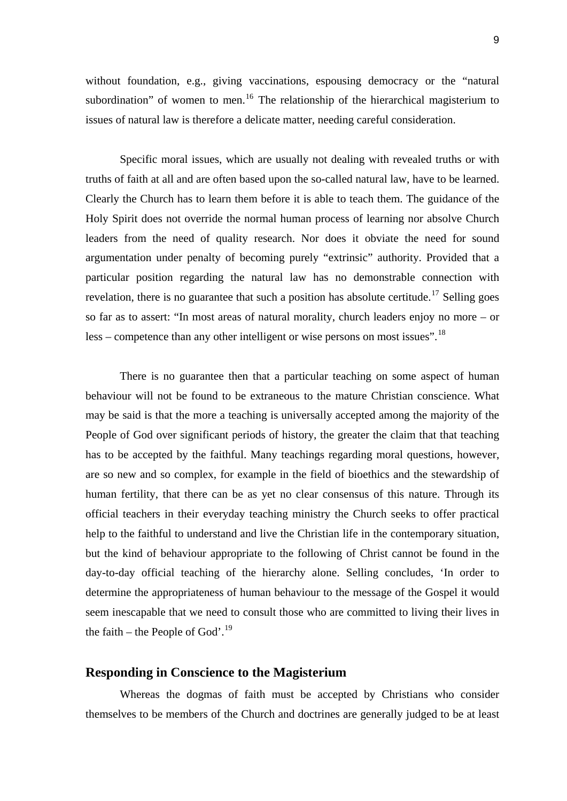without foundation, e.g., giving vaccinations, espousing democracy or the "natural" subordination" of women to men.<sup>[16](#page-3-0)</sup> The relationship of the hierarchical magisterium to issues of natural law is therefore a delicate matter, needing careful consideration.

 Specific moral issues, which are usually not dealing with revealed truths or with truths of faith at all and are often based upon the so-called natural law, have to be learned. Clearly the Church has to learn them before it is able to teach them. The guidance of the Holy Spirit does not override the normal human process of learning nor absolve Church leaders from the need of quality research. Nor does it obviate the need for sound argumentation under penalty of becoming purely "extrinsic" authority. Provided that a particular position regarding the natural law has no demonstrable connection with revelation, there is no guarantee that such a position has absolute certitude.<sup>[17](#page-3-0)</sup> Selling goes so far as to assert: "In most areas of natural morality, church leaders enjoy no more – or less – competence than any other intelligent or wise persons on most issues".<sup>[18](#page-4-0)</sup>

 There is no guarantee then that a particular teaching on some aspect of human behaviour will not be found to be extraneous to the mature Christian conscience. What may be said is that the more a teaching is universally accepted among the majority of the People of God over significant periods of history, the greater the claim that that teaching has to be accepted by the faithful. Many teachings regarding moral questions, however, are so new and so complex, for example in the field of bioethics and the stewardship of human fertility, that there can be as yet no clear consensus of this nature. Through its official teachers in their everyday teaching ministry the Church seeks to offer practical help to the faithful to understand and live the Christian life in the contemporary situation, but the kind of behaviour appropriate to the following of Christ cannot be found in the day-to-day official teaching of the hierarchy alone. Selling concludes, 'In order to determine the appropriateness of human behaviour to the message of the Gospel it would seem inescapable that we need to consult those who are committed to living their lives in the faith – the People of God'.<sup>[19](#page-4-0)</sup>

#### **Responding in Conscience to the Magisterium**

 Whereas the dogmas of faith must be accepted by Christians who consider themselves to be members of the Church and doctrines are generally judged to be at least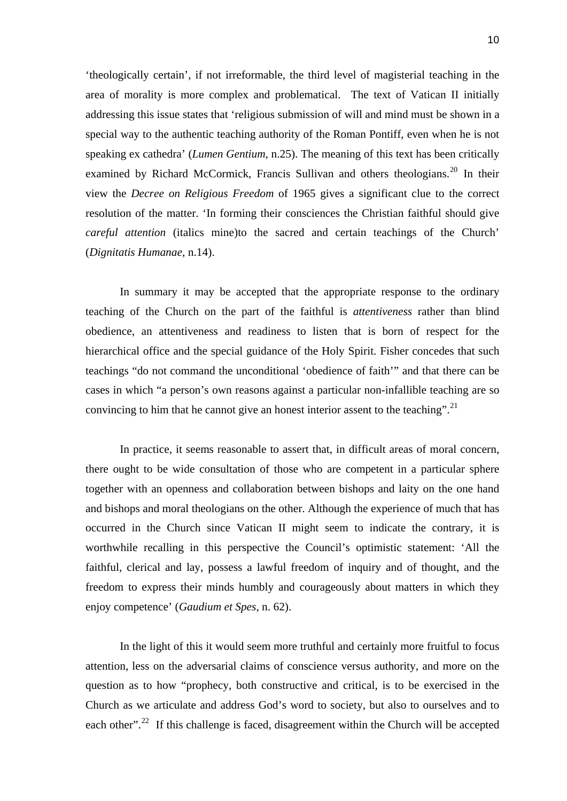'theologically certain', if not irreformable, the third level of magisterial teaching in the area of morality is more complex and problematical. The text of Vatican II initially addressing this issue states that 'religious submission of will and mind must be shown in a special way to the authentic teaching authority of the Roman Pontiff, even when he is not speaking ex cathedra' (*Lumen Gentium*, n.25). The meaning of this text has been critically examined by Richard McCormick, Francis Sullivan and others theologians.<sup>[20](#page-4-0)</sup> In their view the *Decree on Religious Freedom* of 1965 gives a significant clue to the correct resolution of the matter. 'In forming their consciences the Christian faithful should give *careful attention* (italics mine)to the sacred and certain teachings of the Church' (*Dignitatis Humanae*, n.14).

In summary it may be accepted that the appropriate response to the ordinary teaching of the Church on the part of the faithful is *attentiveness* rather than blind obedience, an attentiveness and readiness to listen that is born of respect for the hierarchical office and the special guidance of the Holy Spirit. Fisher concedes that such teachings "do not command the unconditional 'obedience of faith'" and that there can be cases in which "a person's own reasons against a particular non-infallible teaching are so convincing to him that he cannot give an honest interior assent to the teaching".<sup>[21](#page-4-0)</sup>

 In practice, it seems reasonable to assert that, in difficult areas of moral concern, there ought to be wide consultation of those who are competent in a particular sphere together with an openness and collaboration between bishops and laity on the one hand and bishops and moral theologians on the other. Although the experience of much that has occurred in the Church since Vatican II might seem to indicate the contrary, it is worthwhile recalling in this perspective the Council's optimistic statement: 'All the faithful, clerical and lay, possess a lawful freedom of inquiry and of thought, and the freedom to express their minds humbly and courageously about matters in which they enjoy competence' (*Gaudium et Spes*, n. 62).

 In the light of this it would seem more truthful and certainly more fruitful to focus attention, less on the adversarial claims of conscience versus authority, and more on the question as to how "prophecy, both constructive and critical, is to be exercised in the Church as we articulate and address God's word to society, but also to ourselves and to each other".<sup>[22](#page-4-0)</sup> If this challenge is faced, disagreement within the Church will be accepted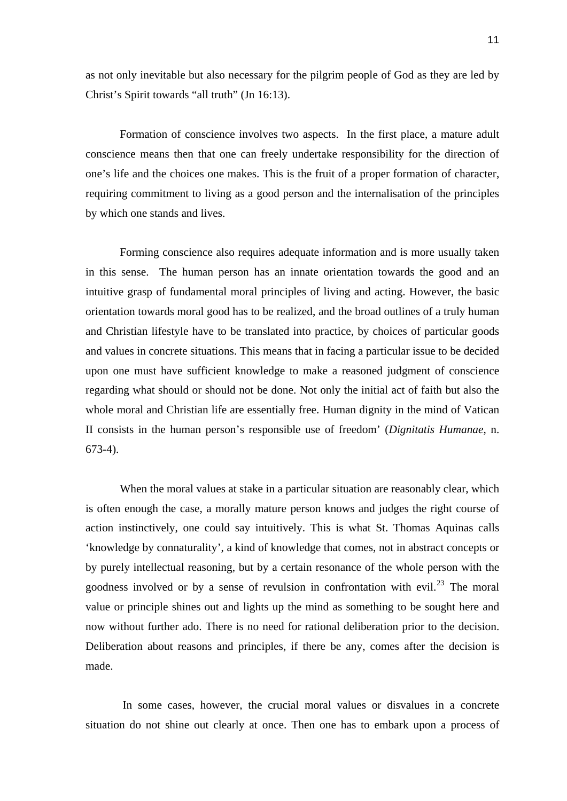as not only inevitable but also necessary for the pilgrim people of God as they are led by Christ's Spirit towards "all truth" (Jn 16:13).

 Formation of conscience involves two aspects. In the first place, a mature adult conscience means then that one can freely undertake responsibility for the direction of one's life and the choices one makes. This is the fruit of a proper formation of character, requiring commitment to living as a good person and the internalisation of the principles by which one stands and lives.

 Forming conscience also requires adequate information and is more usually taken in this sense. The human person has an innate orientation towards the good and an intuitive grasp of fundamental moral principles of living and acting. However, the basic orientation towards moral good has to be realized, and the broad outlines of a truly human and Christian lifestyle have to be translated into practice, by choices of particular goods and values in concrete situations. This means that in facing a particular issue to be decided upon one must have sufficient knowledge to make a reasoned judgment of conscience regarding what should or should not be done. Not only the initial act of faith but also the whole moral and Christian life are essentially free. Human dignity in the mind of Vatican II consists in the human person's responsible use of freedom' (*Dignitatis Humanae*, n. 673-4).

When the moral values at stake in a particular situation are reasonably clear, which is often enough the case, a morally mature person knows and judges the right course of action instinctively, one could say intuitively. This is what St. Thomas Aquinas calls 'knowledge by connaturality', a kind of knowledge that comes, not in abstract concepts or by purely intellectual reasoning, but by a certain resonance of the whole person with the goodness involved or by a sense of revulsion in confrontation with evil. $^{23}$  $^{23}$  $^{23}$  The moral value or principle shines out and lights up the mind as something to be sought here and now without further ado. There is no need for rational deliberation prior to the decision. Deliberation about reasons and principles, if there be any, comes after the decision is made.

 In some cases, however, the crucial moral values or disvalues in a concrete situation do not shine out clearly at once. Then one has to embark upon a process of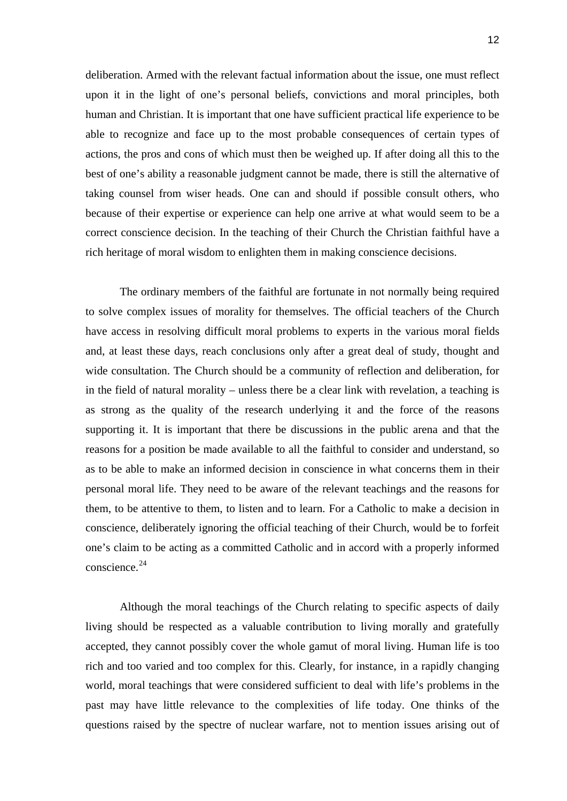deliberation. Armed with the relevant factual information about the issue, one must reflect upon it in the light of one's personal beliefs, convictions and moral principles, both human and Christian. It is important that one have sufficient practical life experience to be able to recognize and face up to the most probable consequences of certain types of actions, the pros and cons of which must then be weighed up. If after doing all this to the best of one's ability a reasonable judgment cannot be made, there is still the alternative of taking counsel from wiser heads. One can and should if possible consult others, who because of their expertise or experience can help one arrive at what would seem to be a correct conscience decision. In the teaching of their Church the Christian faithful have a rich heritage of moral wisdom to enlighten them in making conscience decisions.

 The ordinary members of the faithful are fortunate in not normally being required to solve complex issues of morality for themselves. The official teachers of the Church have access in resolving difficult moral problems to experts in the various moral fields and, at least these days, reach conclusions only after a great deal of study, thought and wide consultation. The Church should be a community of reflection and deliberation, for in the field of natural morality – unless there be a clear link with revelation, a teaching is as strong as the quality of the research underlying it and the force of the reasons supporting it. It is important that there be discussions in the public arena and that the reasons for a position be made available to all the faithful to consider and understand, so as to be able to make an informed decision in conscience in what concerns them in their personal moral life. They need to be aware of the relevant teachings and the reasons for them, to be attentive to them, to listen and to learn. For a Catholic to make a decision in conscience, deliberately ignoring the official teaching of their Church, would be to forfeit one's claim to be acting as a committed Catholic and in accord with a properly informed conscience.<sup>[24](#page-4-0)</sup>

 Although the moral teachings of the Church relating to specific aspects of daily living should be respected as a valuable contribution to living morally and gratefully accepted, they cannot possibly cover the whole gamut of moral living. Human life is too rich and too varied and too complex for this. Clearly, for instance, in a rapidly changing world, moral teachings that were considered sufficient to deal with life's problems in the past may have little relevance to the complexities of life today. One thinks of the questions raised by the spectre of nuclear warfare, not to mention issues arising out of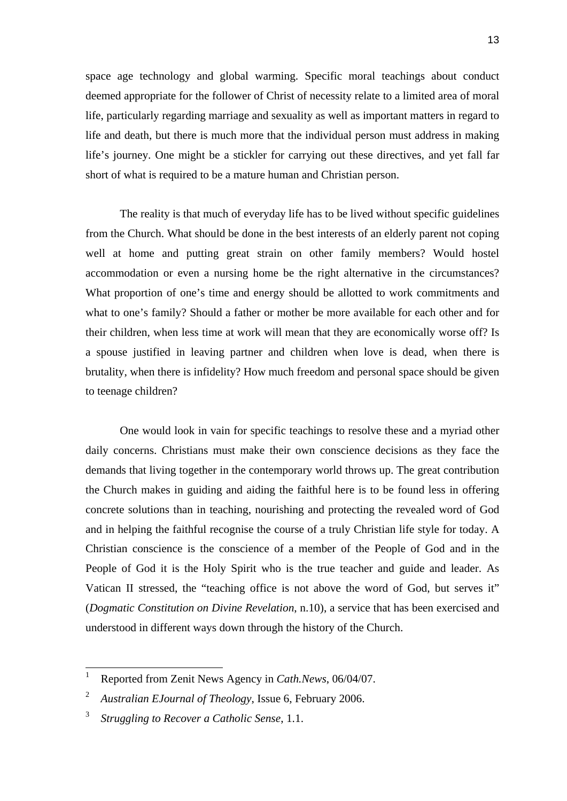space age technology and global warming. Specific moral teachings about conduct deemed appropriate for the follower of Christ of necessity relate to a limited area of moral life, particularly regarding marriage and sexuality as well as important matters in regard to life and death, but there is much more that the individual person must address in making life's journey. One might be a stickler for carrying out these directives, and yet fall far short of what is required to be a mature human and Christian person.

 The reality is that much of everyday life has to be lived without specific guidelines from the Church. What should be done in the best interests of an elderly parent not coping well at home and putting great strain on other family members? Would hostel accommodation or even a nursing home be the right alternative in the circumstances? What proportion of one's time and energy should be allotted to work commitments and what to one's family? Should a father or mother be more available for each other and for their children, when less time at work will mean that they are economically worse off? Is a spouse justified in leaving partner and children when love is dead, when there is brutality, when there is infidelity? How much freedom and personal space should be given to teenage children?

 One would look in vain for specific teachings to resolve these and a myriad other daily concerns. Christians must make their own conscience decisions as they face the demands that living together in the contemporary world throws up. The great contribution the Church makes in guiding and aiding the faithful here is to be found less in offering concrete solutions than in teaching, nourishing and protecting the revealed word of God and in helping the faithful recognise the course of a truly Christian life style for today. A Christian conscience is the conscience of a member of the People of God and in the People of God it is the Holy Spirit who is the true teacher and guide and leader. As Vatican II stressed, the "teaching office is not above the word of God, but serves it" (*Dogmatic Constitution on Divine Revelation*, n.10), a service that has been exercised and understood in different ways down through the history of the Church.

 1 Reported from Zenit News Agency in *Cath.News*, 06/04/07.

<sup>2</sup> *Australian EJournal of Theology*, Issue 6, February 2006.

<sup>3</sup> *Struggling to Recover a Catholic Sense*, 1.1.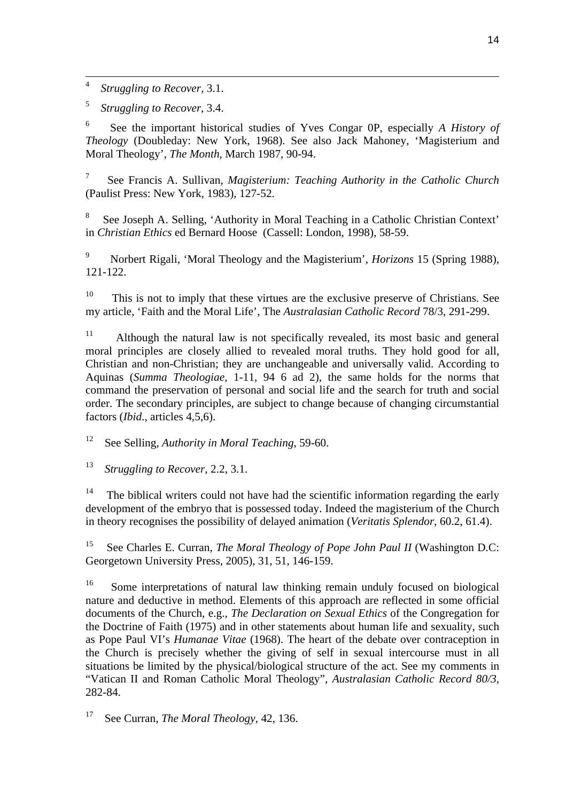$\frac{1}{4}$ *Struggling to Recover,* 3.1.

5 *Struggling to Recover*, 3.4.

6 See the important historical studies of Yves Congar 0P, especially *A History of Theology* (Doubleday: New York, 1968). See also Jack Mahoney, 'Magisterium and Moral Theology', *The Month*, March 1987, 90-94.

7 See Francis A. Sullivan, *Magisterium: Teaching Authority in the Catholic Church* (Paulist Press: New York, 1983), 127-52.

8 See Joseph A. Selling, 'Authority in Moral Teaching in a Catholic Christian Context' in *Christian Ethics* ed Bernard Hoose (Cassell: London, 1998), 58-59.

9 Norbert Rigali, 'Moral Theology and the Magisterium', *Horizons* 15 (Spring 1988), 121-122.

 $10$  This is not to imply that these virtues are the exclusive preserve of Christians. See my article, 'Faith and the Moral Life', The *Australasian Catholic Record* 78/3, 291-299.

<sup>11</sup> Although the natural law is not specifically revealed, its most basic and general moral principles are closely allied to revealed moral truths. They hold good for all, Christian and non-Christian; they are unchangeable and universally valid. According to Aquinas (*Summa Theologiae*, 1-11, 94 6 ad 2), the same holds for the norms that command the preservation of personal and social life and the search for truth and social order. The secondary principles, are subject to change because of changing circumstantial factors (*Ibid*., articles 4,5,6).

12 See Selling, *Authority in Moral Teaching*, 59-60.

13 *Struggling to Recover*, 2.2, 3.1.

The biblical writers could not have had the scientific information regarding the early development of the embryo that is possessed today. Indeed the magisterium of the Church in theory recognises the possibility of delayed animation (*Veritatis Splendor*, 60.2, 61.4).

15 See Charles E. Curran, *The Moral Theology of Pope John Paul II* (Washington D.C: Georgetown University Press, 2005), 31, 51, 146-159.

<sup>16</sup> Some interpretations of natural law thinking remain unduly focused on biological nature and deductive in method. Elements of this approach are reflected in some official documents of the Church, e.g., *The Declaration on Sexual Ethics* of the Congregation for the Doctrine of Faith (1975) and in other statements about human life and sexuality, such as Pope Paul VI's *Humanae Vitae* (1968). The heart of the debate over contraception in the Church is precisely whether the giving of self in sexual intercourse must in all situations be limited by the physical/biological structure of the act. See my comments in "Vatican II and Roman Catholic Moral Theology", *Australasian Catholic Record 80/3*, 282-84.

17 See Curran, *The Moral Theology*, 42, 136.